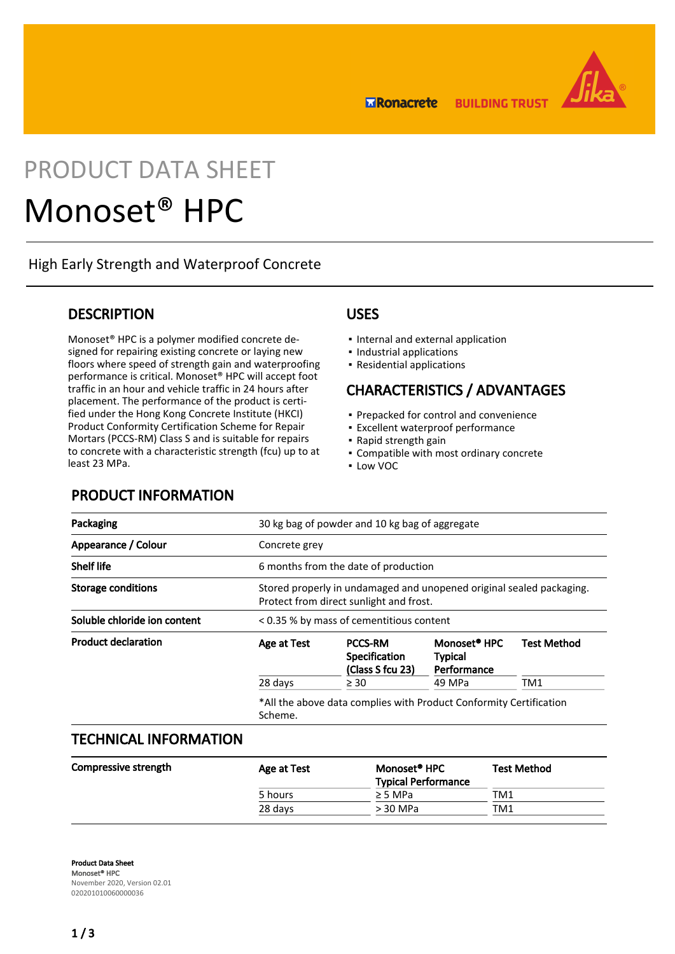**ERonacrete BUILDING TRUST** 



# PRODUCT DATA SHEET

# Monoset® HPC

High Early Strength and Waterproof Concrete

## **DESCRIPTION**

Monoset® HPC is a polymer modified concrete designed for repairing existing concrete or laying new floors where speed of strength gain and waterproofing performance is critical. Monoset® HPC will accept foot traffic in an hour and vehicle traffic in 24 hours after placement. The performance of the product is certified under the Hong Kong Concrete Institute (HKCI) Product Conformity Certification Scheme for Repair Mortars (PCCS-RM) Class S and is suitable for repairs to concrete with a characteristic strength (fcu) up to at least 23 MPa.

### USES

- Internal and external application
- Industrial applications
- Residential applications

## CHARACTERISTICS / ADVANTAGES

- Prepacked for control and convenience
- **Excellent waterproof performance**
- Rapid strength gain
- Compatible with most ordinary concrete
- Low VOC

| Packaging                    |               | 30 kg bag of powder and 10 kg bag of aggregate                                                                  |                                                           |                    |  |
|------------------------------|---------------|-----------------------------------------------------------------------------------------------------------------|-----------------------------------------------------------|--------------------|--|
| Appearance / Colour          | Concrete grey |                                                                                                                 |                                                           |                    |  |
| <b>Shelf life</b>            |               | 6 months from the date of production                                                                            |                                                           |                    |  |
| Storage conditions           |               | Stored properly in undamaged and unopened original sealed packaging.<br>Protect from direct sunlight and frost. |                                                           |                    |  |
| Soluble chloride ion content |               | < 0.35 % by mass of cementitious content                                                                        |                                                           |                    |  |
| <b>Product declaration</b>   | Age at Test   | <b>PCCS-RM</b><br><b>Specification</b><br>(Class S fcu 23)                                                      | Monoset <sup>®</sup> HPC<br><b>Typical</b><br>Performance | <b>Test Method</b> |  |
|                              | 28 days       | $\geq 30$                                                                                                       | 49 MPa                                                    | TM1                |  |

## TECHNICAL INFORMATION

PRODUCT INFORMATION

| Compressive strength | Age at Test | Monoset <sup>®</sup> HPC   | <b>Test Method</b> |
|----------------------|-------------|----------------------------|--------------------|
|                      |             | <b>Typical Performance</b> |                    |
|                      | 5 hours     | $\geq$ 5 MPa               | TM1                |
|                      | 28 days     | > 30 MPa                   | TM1                |
|                      |             |                            |                    |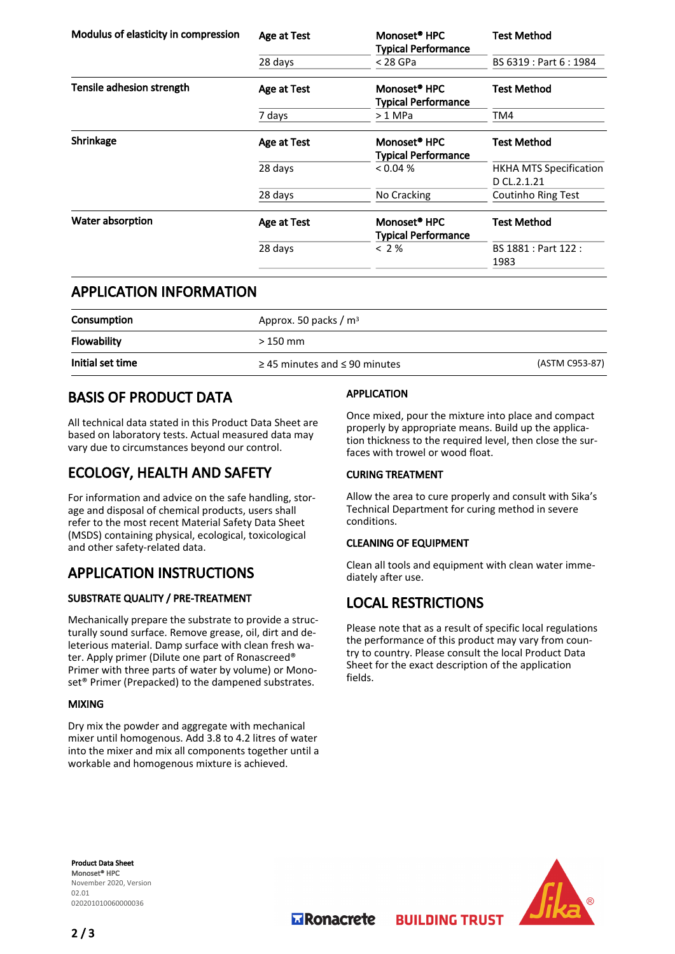| Modulus of elasticity in compression | Age at Test        | Monoset <sup>®</sup> HPC<br><b>Typical Performance</b> | <b>Test Method</b>                           |  |
|--------------------------------------|--------------------|--------------------------------------------------------|----------------------------------------------|--|
|                                      | 28 days            | $<$ 28 GPa                                             | BS 6319 : Part 6 : 1984                      |  |
| Tensile adhesion strength            | Age at Test        | Monoset <sup>®</sup> HPC<br><b>Typical Performance</b> | <b>Test Method</b>                           |  |
|                                      | 7 days             | $>1$ MPa                                               | TM4                                          |  |
| Shrinkage                            | Age at Test        | Monoset <sup>®</sup> HPC<br><b>Typical Performance</b> | <b>Test Method</b>                           |  |
|                                      | 28 days            | $< 0.04\%$                                             | <b>HKHA MTS Specification</b><br>D CL.2.1.21 |  |
|                                      | 28 days            | No Cracking                                            | Coutinho Ring Test                           |  |
| Water absorption                     | <b>Age at Test</b> | Monoset <sup>®</sup> HPC<br><b>Typical Performance</b> | <b>Test Method</b>                           |  |
|                                      | 28 days            | < 2%                                                   | BS 1881 : Part 122 :<br>1983                 |  |

## APPLICATION INFORMATION

| Consumption      | Approx. 50 packs / $m3$                 |                |  |
|------------------|-----------------------------------------|----------------|--|
| Flowability      | $>150$ mm                               |                |  |
| Initial set time | $\geq$ 45 minutes and $\leq$ 90 minutes | (ASTM C953-87) |  |

## BASIS OF PRODUCT DATA

All technical data stated in this Product Data Sheet are based on laboratory tests. Actual measured data may vary due to circumstances beyond our control.

# ECOLOGY, HEALTH AND SAFETY

For information and advice on the safe handling, storage and disposal of chemical products, users shall refer to the most recent Material Safety Data Sheet (MSDS) containing physical, ecological, toxicological and other safety-related data.

# APPLICATION INSTRUCTIONS

### SUBSTRATE QUALITY / PRE-TREATMENT

Mechanically prepare the substrate to provide a structurally sound surface. Remove grease, oil, dirt and deleterious material. Damp surface with clean fresh water. Apply primer (Dilute one part of Ronascreed® Primer with three parts of water by volume) or Monoset® Primer (Prepacked) to the dampened substrates.

#### MIXING

Dry mix the powder and aggregate with mechanical mixer until homogenous. Add 3.8 to 4.2 litres of water into the mixer and mix all components together until a workable and homogenous mixture is achieved.

#### APPLICATION

Once mixed, pour the mixture into place and compact properly by appropriate means. Build up the application thickness to the required level, then close the surfaces with trowel or wood float.

#### CURING TREATMENT

Allow the area to cure properly and consult with Sika's Technical Department for curing method in severe conditions.

#### CLEANING OF EQUIPMENT

Clean all tools and equipment with clean water immediately after use.

# LOCAL RESTRICTIONS

Please note that as a result of specific local regulations the performance of this product may vary from country to country. Please consult the local Product Data Sheet for the exact description of the application fields.

**BUILDING TRUST** 

Product Data Sheet Monoset® HPC November 2020, Version 02.01 020201010060000036



**M** Ronacrete